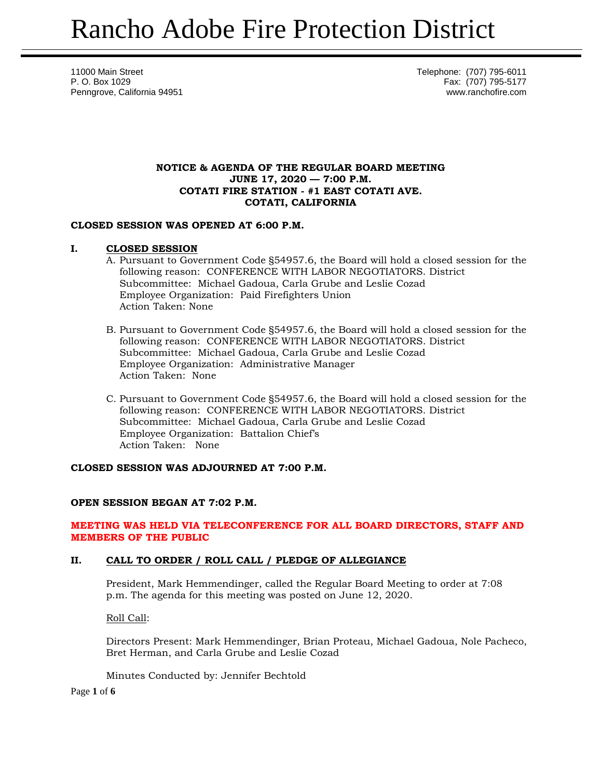11000 Main Street **Telephone: (707) 795-6011** P. O. Box 1029 Fax: (707) 795-5177 Penngrove, California 94951 www.ranchofire.com

## **NOTICE & AGENDA OF THE REGULAR BOARD MEETING JUNE 17, 2020 — 7:00 P.M. COTATI FIRE STATION - #1 EAST COTATI AVE. COTATI, CALIFORNIA**

## **CLOSED SESSION WAS OPENED AT 6:00 P.M.**

## **I. CLOSED SESSION**

- A. Pursuant to Government Code §54957.6, the Board will hold a closed session for the following reason: CONFERENCE WITH LABOR NEGOTIATORS. District Subcommittee: Michael Gadoua, Carla Grube and Leslie Cozad Employee Organization: Paid Firefighters Union Action Taken: None
- B. Pursuant to Government Code §54957.6, the Board will hold a closed session for the following reason: CONFERENCE WITH LABOR NEGOTIATORS. District Subcommittee: Michael Gadoua, Carla Grube and Leslie Cozad Employee Organization: Administrative Manager Action Taken: None
- C. Pursuant to Government Code §54957.6, the Board will hold a closed session for the following reason: CONFERENCE WITH LABOR NEGOTIATORS. District Subcommittee: Michael Gadoua, Carla Grube and Leslie Cozad Employee Organization: Battalion Chief's Action Taken: None

## **CLOSED SESSION WAS ADJOURNED AT 7:00 P.M.**

## **OPEN SESSION BEGAN AT 7:02 P.M.**

## **MEETING WAS HELD VIA TELECONFERENCE FOR ALL BOARD DIRECTORS, STAFF AND MEMBERS OF THE PUBLIC**

## **II. CALL TO ORDER / ROLL CALL / PLEDGE OF ALLEGIANCE**

President, Mark Hemmendinger, called the Regular Board Meeting to order at 7:08 p.m. The agenda for this meeting was posted on June 12, 2020.

Roll Call:

Directors Present: Mark Hemmendinger, Brian Proteau, Michael Gadoua, Nole Pacheco, Bret Herman, and Carla Grube and Leslie Cozad

Minutes Conducted by: Jennifer Bechtold

Page **1** of **6**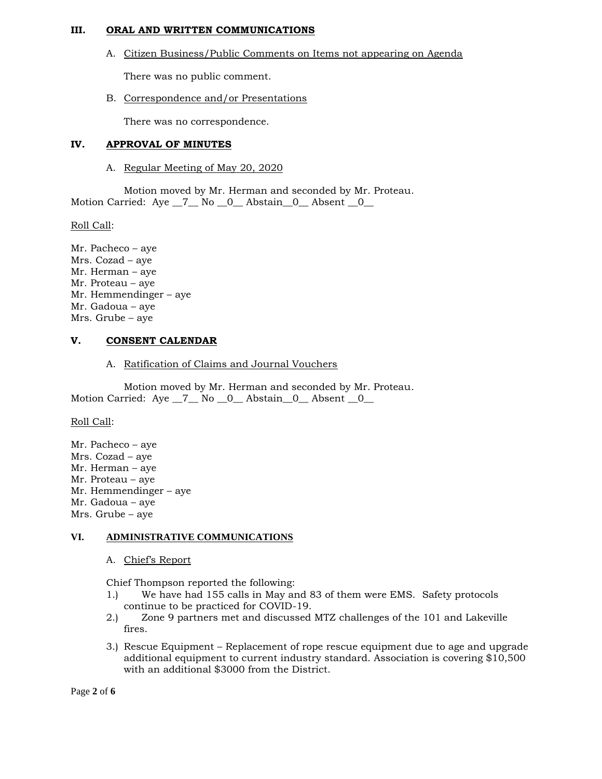#### **III. ORAL AND WRITTEN COMMUNICATIONS**

A. Citizen Business/Public Comments on Items not appearing on Agenda

There was no public comment.

B. Correspondence and/or Presentations

There was no correspondence.

## **IV. APPROVAL OF MINUTES**

A. Regular Meeting of May 20, 2020

Motion moved by Mr. Herman and seconded by Mr. Proteau. Motion Carried: Aye \_7\_ No \_0\_ Abstain \_0\_ Absent \_0\_

Roll Call:

Mr. Pacheco – aye Mrs. Cozad – aye Mr. Herman – aye Mr. Proteau – aye Mr. Hemmendinger – aye Mr. Gadoua – aye Mrs. Grube – aye

## **V. CONSENT CALENDAR**

A. Ratification of Claims and Journal Vouchers

Motion moved by Mr. Herman and seconded by Mr. Proteau. Motion Carried: Aye \_7\_ No \_0\_ Abstain \_0\_ Absent \_0\_

Roll Call:

Mr. Pacheco – aye Mrs. Cozad – aye Mr. Herman – aye Mr. Proteau – aye Mr. Hemmendinger – aye Mr. Gadoua – aye Mrs. Grube – aye

## **VI. ADMINISTRATIVE COMMUNICATIONS**

A. Chief's Report

Chief Thompson reported the following:

- 1.) We have had 155 calls in May and 83 of them were EMS. Safety protocols continue to be practiced for COVID-19.
- 2.) Zone 9 partners met and discussed MTZ challenges of the 101 and Lakeville fires.
- 3.) Rescue Equipment Replacement of rope rescue equipment due to age and upgrade additional equipment to current industry standard. Association is covering \$10,500 with an additional \$3000 from the District.

Page **2** of **6**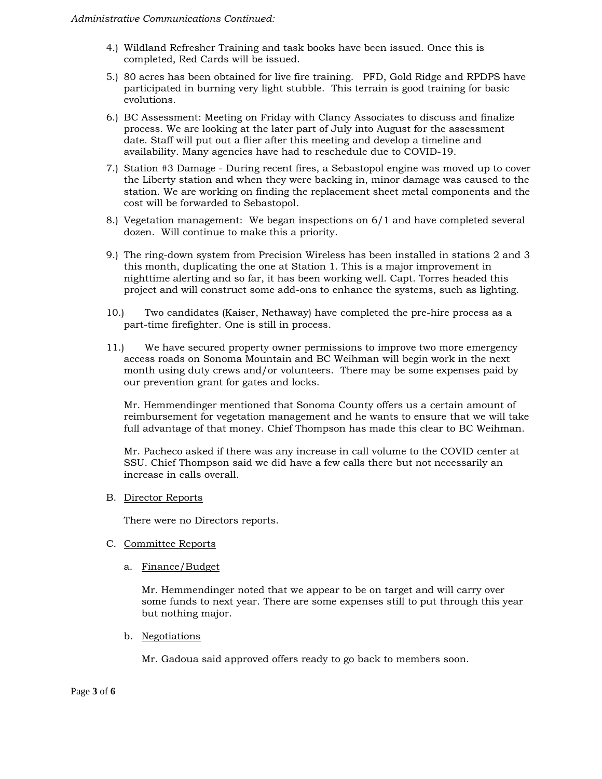- 4.) Wildland Refresher Training and task books have been issued. Once this is completed, Red Cards will be issued.
- 5.) 80 acres has been obtained for live fire training. PFD, Gold Ridge and RPDPS have participated in burning very light stubble. This terrain is good training for basic evolutions.
- 6.) BC Assessment: Meeting on Friday with Clancy Associates to discuss and finalize process. We are looking at the later part of July into August for the assessment date. Staff will put out a flier after this meeting and develop a timeline and availability. Many agencies have had to reschedule due to COVID-19.
- 7.) Station #3 Damage During recent fires, a Sebastopol engine was moved up to cover the Liberty station and when they were backing in, minor damage was caused to the station. We are working on finding the replacement sheet metal components and the cost will be forwarded to Sebastopol.
- 8.) Vegetation management: We began inspections on 6/1 and have completed several dozen. Will continue to make this a priority.
- 9.) The ring-down system from Precision Wireless has been installed in stations 2 and 3 this month, duplicating the one at Station 1. This is a major improvement in nighttime alerting and so far, it has been working well. Capt. Torres headed this project and will construct some add-ons to enhance the systems, such as lighting.
- 10.) Two candidates (Kaiser, Nethaway) have completed the pre-hire process as a part-time firefighter. One is still in process.
- 11.) We have secured property owner permissions to improve two more emergency access roads on Sonoma Mountain and BC Weihman will begin work in the next month using duty crews and/or volunteers. There may be some expenses paid by our prevention grant for gates and locks.

Mr. Hemmendinger mentioned that Sonoma County offers us a certain amount of reimbursement for vegetation management and he wants to ensure that we will take full advantage of that money. Chief Thompson has made this clear to BC Weihman.

Mr. Pacheco asked if there was any increase in call volume to the COVID center at SSU. Chief Thompson said we did have a few calls there but not necessarily an increase in calls overall.

B. Director Reports

There were no Directors reports.

- C. Committee Reports
	- a. Finance/Budget

Mr. Hemmendinger noted that we appear to be on target and will carry over some funds to next year. There are some expenses still to put through this year but nothing major.

b. Negotiations

Mr. Gadoua said approved offers ready to go back to members soon.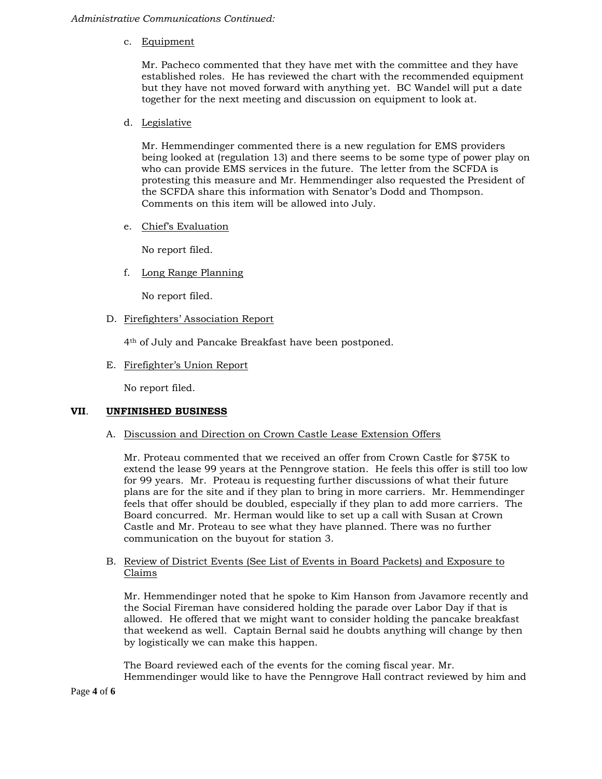#### *Administrative Communications Continued:*

c. Equipment

Mr. Pacheco commented that they have met with the committee and they have established roles. He has reviewed the chart with the recommended equipment but they have not moved forward with anything yet. BC Wandel will put a date together for the next meeting and discussion on equipment to look at.

d. Legislative

Mr. Hemmendinger commented there is a new regulation for EMS providers being looked at (regulation 13) and there seems to be some type of power play on who can provide EMS services in the future. The letter from the SCFDA is protesting this measure and Mr. Hemmendinger also requested the President of the SCFDA share this information with Senator's Dodd and Thompson. Comments on this item will be allowed into July.

e. Chief's Evaluation

No report filed.

f. Long Range Planning

No report filed.

D. Firefighters' Association Report

4th of July and Pancake Breakfast have been postponed.

E. Firefighter's Union Report

No report filed.

#### **VII**. **UNFINISHED BUSINESS**

A. Discussion and Direction on Crown Castle Lease Extension Offers

Mr. Proteau commented that we received an offer from Crown Castle for \$75K to extend the lease 99 years at the Penngrove station. He feels this offer is still too low for 99 years. Mr. Proteau is requesting further discussions of what their future plans are for the site and if they plan to bring in more carriers. Mr. Hemmendinger feels that offer should be doubled, especially if they plan to add more carriers. The Board concurred. Mr. Herman would like to set up a call with Susan at Crown Castle and Mr. Proteau to see what they have planned. There was no further communication on the buyout for station 3.

## B. Review of District Events (See List of Events in Board Packets) and Exposure to Claims

Mr. Hemmendinger noted that he spoke to Kim Hanson from Javamore recently and the Social Fireman have considered holding the parade over Labor Day if that is allowed. He offered that we might want to consider holding the pancake breakfast that weekend as well. Captain Bernal said he doubts anything will change by then by logistically we can make this happen.

The Board reviewed each of the events for the coming fiscal year. Mr. Hemmendinger would like to have the Penngrove Hall contract reviewed by him and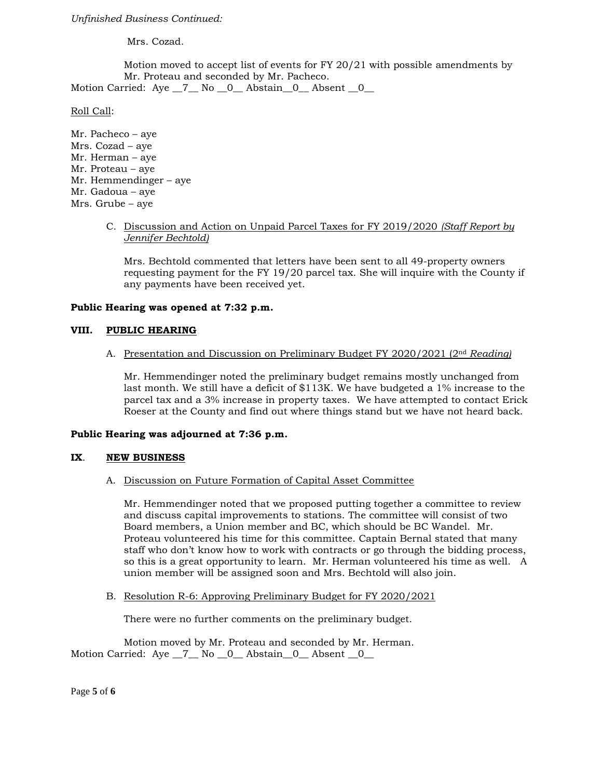*Unfinished Business Continued:*

Mrs. Cozad.

Motion moved to accept list of events for FY 20/21 with possible amendments by Mr. Proteau and seconded by Mr. Pacheco.

Motion Carried: Aye \_7\_\_ No \_0\_\_ Abstain \_0\_\_ Absent \_0\_\_

Roll Call:

Mr. Pacheco – aye Mrs. Cozad – aye Mr. Herman – aye Mr. Proteau – aye Mr. Hemmendinger – aye Mr. Gadoua – aye Mrs. Grube – aye

> C. Discussion and Action on Unpaid Parcel Taxes for FY 2019/2020 *(Staff Report by Jennifer Bechtold)*

Mrs. Bechtold commented that letters have been sent to all 49-property owners requesting payment for the FY 19/20 parcel tax. She will inquire with the County if any payments have been received yet.

## **Public Hearing was opened at 7:32 p.m.**

## **VIII. PUBLIC HEARING**

A. Presentation and Discussion on Preliminary Budget FY 2020/2021 (2nd *Reading)*

Mr. Hemmendinger noted the preliminary budget remains mostly unchanged from last month. We still have a deficit of \$113K. We have budgeted a 1% increase to the parcel tax and a 3% increase in property taxes. We have attempted to contact Erick Roeser at the County and find out where things stand but we have not heard back.

#### **Public Hearing was adjourned at 7:36 p.m.**

#### **IX**. **NEW BUSINESS**

## A. Discussion on Future Formation of Capital Asset Committee

Mr. Hemmendinger noted that we proposed putting together a committee to review and discuss capital improvements to stations. The committee will consist of two Board members, a Union member and BC, which should be BC Wandel. Mr. Proteau volunteered his time for this committee. Captain Bernal stated that many staff who don't know how to work with contracts or go through the bidding process, so this is a great opportunity to learn. Mr. Herman volunteered his time as well. A union member will be assigned soon and Mrs. Bechtold will also join.

B. Resolution R-6: Approving Preliminary Budget for FY 2020/2021

There were no further comments on the preliminary budget.

Motion moved by Mr. Proteau and seconded by Mr. Herman. Motion Carried: Aye 7 No 0 Abstain 0 Absent 0